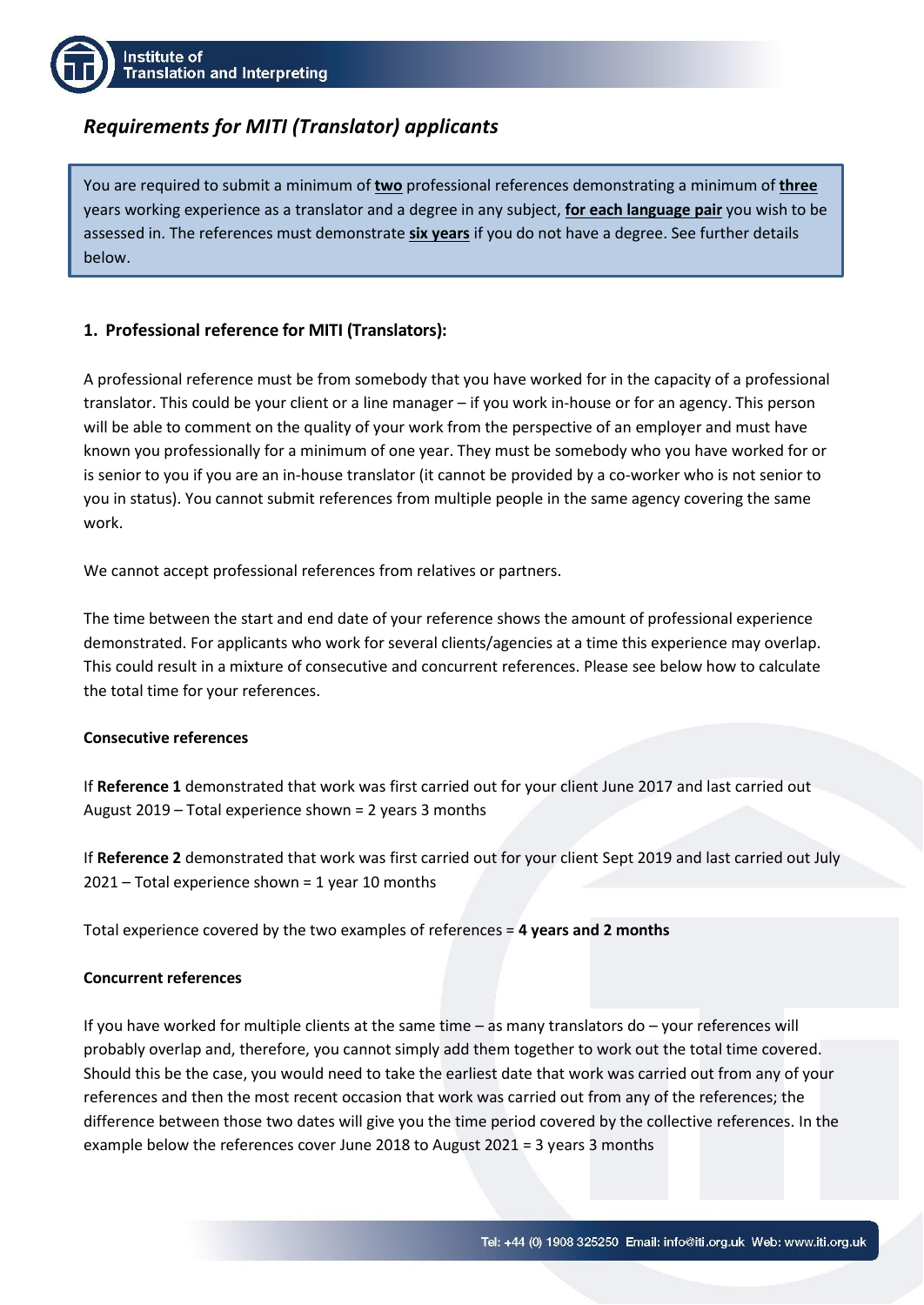# *Requirements for MITI (Translator) applicants*

You are required to submit a minimum of **two** professional references demonstrating a minimum of **three** years working experience as a translator and a degree in any subject, **for each language pair** you wish to be assessed in. The references must demonstrate **six years** if you do not have a degree. See further details below.

## **1. Professional reference for MITI (Translators):**

A professional reference must be from somebody that you have worked for in the capacity of a professional translator. This could be your client or a line manager – if you work in-house or for an agency. This person will be able to comment on the quality of your work from the perspective of an employer and must have known you professionally for a minimum of one year. They must be somebody who you have worked for or is senior to you if you are an in-house translator (it cannot be provided by a co-worker who is not senior to you in status). You cannot submit references from multiple people in the same agency covering the same work.

We cannot accept professional references from relatives or partners.

The time between the start and end date of your reference shows the amount of professional experience demonstrated. For applicants who work for several clients/agencies at a time this experience may overlap. This could result in a mixture of consecutive and concurrent references. Please see below how to calculate the total time for your references.

### **Consecutive references**

If **Reference 1** demonstrated that work was first carried out for your client June 2017 and last carried out August 2019 – Total experience shown = 2 years 3 months

If **Reference 2** demonstrated that work was first carried out for your client Sept 2019 and last carried out July 2021 – Total experience shown = 1 year 10 months

Total experience covered by the two examples of references = **4 years and 2 months**

## **Concurrent references**

If you have worked for multiple clients at the same time – as many translators do – your references will probably overlap and, therefore, you cannot simply add them together to work out the total time covered. Should this be the case, you would need to take the earliest date that work was carried out from any of your references and then the most recent occasion that work was carried out from any of the references; the difference between those two dates will give you the time period covered by the collective references. In the example below the references cover June 2018 to August 2021 = 3 years 3 months